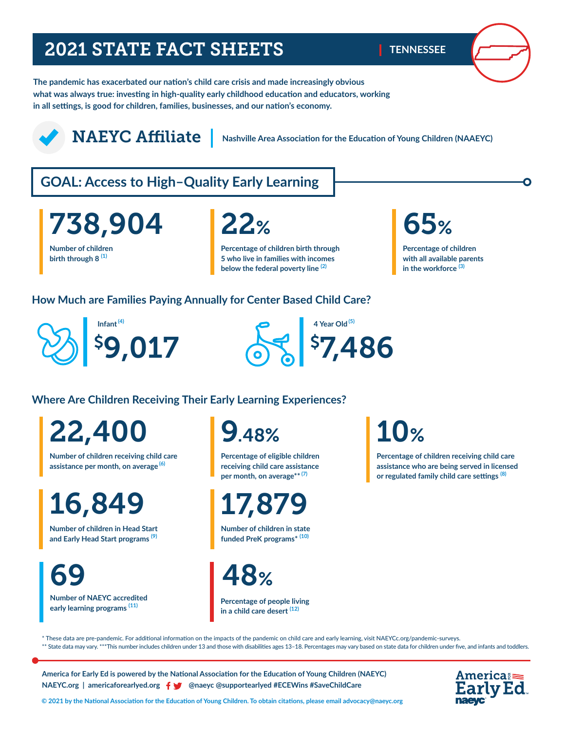## 2021 STATE FACT SHEETS

**TENNESSEE**

**The pandemic has exacerbated our nation's child care crisis and made increasingly obvious what was always true: investing in high-quality early childhood education and educators, working in all settings, is good for children, families, businesses, and our nation's economy.** 

## NAEYC Affiliate

**Nashville Area Association for the Education of Young Children (NAAEYC)**

## **GOAL: Access to High–Quality Early Learning**

**Number of children**  738,904

**birth through 8 (1)**

**Percentage of children birth through 5 who live in families with incomes below the federal poverty line (2)** 

# **65%**

**Percentage of children with all available parents in the workforce (3)** 

### **How Much are Families Paying Annually for Center Based Child Care?**





### **Where Are Children Receiving Their Early Learning Experiences?**

22,400

**Number of children receiving child care assistance per month, on average (6)**

16,849

**Number of children in Head Start and Early Head Start programs (9)**

**Number of NAEYC accredited**  69

**early learning programs (11)** 

9.48%

**Percentage of eligible children receiving child care assistance per month, on average\*\* (7)**

17,879

**Number of children in state funded PreK programs\* (10)**

48%

**Percentage of people living in a child care desert (12)**

# 10%

**Percentage of children receiving child care assistance who are being served in licensed or regulated family child care settings (8)**

\* These data are pre-pandemic. For additional information on the impacts of the pandemic on child care and early learning, visit NAEYCc.org/pandemic-surveys. \*\* State data may vary. \*\*\*This number includes children under 13 and those with disabilities ages 13-18. Percentages may vary based on state data for children under five, and infants and toddlers.

**America for Early Ed is powered by the National Association for the Education of Young Children (NAEYC) NAEYC.org | americaforearlyed.org @naeyc @supportearlyed #ECEWins #SaveChildCare**



**© 2021 by the National Association for the Education of Young Children. To obtain citations, please email advocacy@naeyc.org**